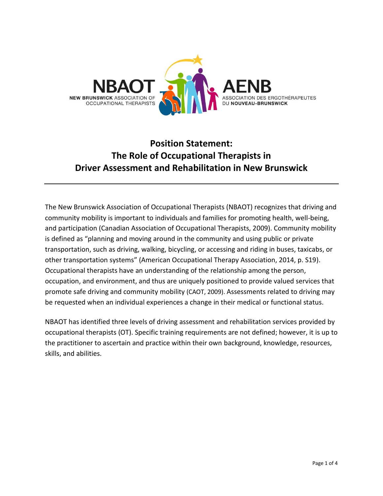

# **Position Statement: The Role of Occupational Therapists in Driver Assessment and Rehabilitation in New Brunswick**

The New Brunswick Association of Occupational Therapists (NBAOT) recognizes that driving and community mobility is important to individuals and families for promoting health, well-being, and participation (Canadian Association of Occupational Therapists, 2009). Community mobility is defined as "planning and moving around in the community and using public or private transportation, such as driving, walking, bicycling, or accessing and riding in buses, taxicabs, or other transportation systems" (American Occupational Therapy Association, 2014, p. S19). Occupational therapists have an understanding of the relationship among the person, occupation, and environment, and thus are uniquely positioned to provide valued services that promote safe driving and community mobility (CAOT, 2009). Assessments related to driving may be requested when an individual experiences a change in their medical or functional status.

NBAOT has identified three levels of driving assessment and rehabilitation services provided by occupational therapists (OT). Specific training requirements are not defined; however, it is up to the practitioner to ascertain and practice within their own background, knowledge, resources, skills, and abilities.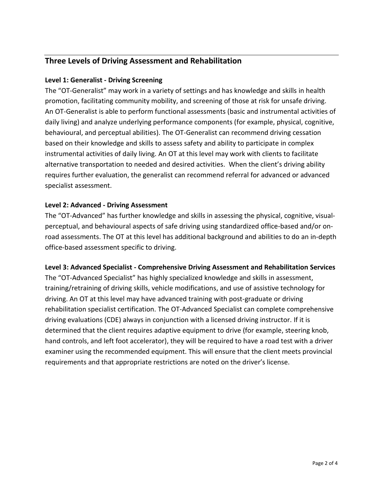# **Three Levels of Driving Assessment and Rehabilitation**

#### **Level 1: Generalist - Driving Screening**

The "OT-Generalist" may work in a variety of settings and has knowledge and skills in health promotion, facilitating community mobility, and screening of those at risk for unsafe driving. An OT-Generalist is able to perform functional assessments (basic and instrumental activities of daily living) and analyze underlying performance components (for example, physical, cognitive, behavioural, and perceptual abilities). The OT-Generalist can recommend driving cessation based on their knowledge and skills to assess safety and ability to participate in complex instrumental activities of daily living. An OT at this level may work with clients to facilitate alternative transportation to needed and desired activities. When the client's driving ability requires further evaluation, the generalist can recommend referral for advanced or advanced specialist assessment.

#### **Level 2: Advanced - Driving Assessment**

The "OT-Advanced" has further knowledge and skills in assessing the physical, cognitive, visualperceptual, and behavioural aspects of safe driving using standardized office-based and/or onroad assessments. The OT at this level has additional background and abilities to do an in-depth office-based assessment specific to driving.

#### **Level 3: Advanced Specialist - Comprehensive Driving Assessment and Rehabilitation Services**

The "OT-Advanced Specialist" has highly specialized knowledge and skills in assessment, training/retraining of driving skills, vehicle modifications, and use of assistive technology for driving. An OT at this level may have advanced training with post-graduate or driving rehabilitation specialist certification. The OT-Advanced Specialist can complete comprehensive driving evaluations (CDE) always in conjunction with a licensed driving instructor. If it is determined that the client requires adaptive equipment to drive (for example, steering knob, hand controls, and left foot accelerator), they will be required to have a road test with a driver examiner using the recommended equipment. This will ensure that the client meets provincial requirements and that appropriate restrictions are noted on the driver's license.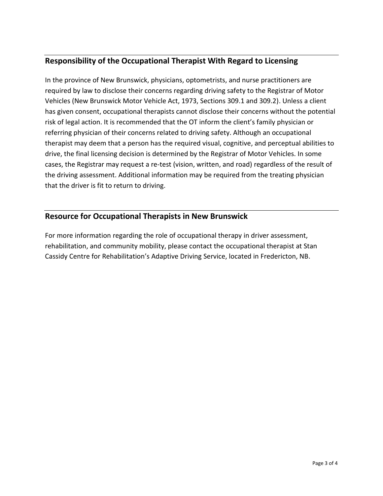# **Responsibility of the Occupational Therapist With Regard to Licensing**

In the province of New Brunswick, physicians, optometrists, and nurse practitioners are required by law to disclose their concerns regarding driving safety to the Registrar of Motor Vehicles (New Brunswick Motor Vehicle Act, 1973, Sections 309.1 and 309.2). Unless a client has given consent, occupational therapists cannot disclose their concerns without the potential risk of legal action. It is recommended that the OT inform the client's family physician or referring physician of their concerns related to driving safety. Although an occupational therapist may deem that a person has the required visual, cognitive, and perceptual abilities to drive, the final licensing decision is determined by the Registrar of Motor Vehicles. In some cases, the Registrar may request a re-test (vision, written, and road) regardless of the result of the driving assessment. Additional information may be required from the treating physician that the driver is fit to return to driving.

## **Resource for Occupational Therapists in New Brunswick**

For more information regarding the role of occupational therapy in driver assessment, rehabilitation, and community mobility, please contact the occupational therapist at Stan Cassidy Centre for Rehabilitation's Adaptive Driving Service, located in Fredericton, NB.